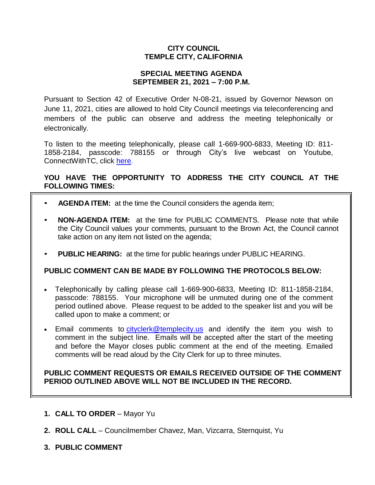# **CITY COUNCIL TEMPLE CITY, CALIFORNIA**

#### **SPECIAL MEETING AGENDA SEPTEMBER 21, 2021 – 7:00 P.M.**

Pursuant to Section 42 of Executive Order N-08-21, issued by Governor Newson on June 11, 2021, cities are allowed to hold City Council meetings via teleconferencing and members of the public can observe and address the meeting telephonically or electronically.

To listen to the meeting telephonically, please call 1-669-900-6833, Meeting ID: 811- 1858-2184, passcode: 788155 or through City's live webcast on Youtube, ConnectWithTC, click [here.](https://www.ci.temple-city.ca.us/516/Meeting-Webcast)

# **YOU HAVE THE OPPORTUNITY TO ADDRESS THE CITY COUNCIL AT THE FOLLOWING TIMES:**

- **AGENDA ITEM:** at the time the Council considers the agenda item;
- **NON-AGENDA ITEM:** at the time for PUBLIC COMMENTS. Please note that while the City Council values your comments, pursuant to the Brown Act, the Council cannot take action on any item not listed on the agenda;
- **PUBLIC HEARING:** at the time for public hearings under PUBLIC HEARING.

#### **PUBLIC COMMENT CAN BE MADE BY FOLLOWING THE PROTOCOLS BELOW:**

- Telephonically by calling please call 1-669-900-6833, Meeting ID: 811-1858-2184, passcode: 788155. Your microphone will be unmuted during one of the comment period outlined above. Please request to be added to the speaker list and you will be called upon to make a comment; or
- Email comments to [cityclerk@templecity.us](mailto:cityclerk@templecity.us) and identify the item you wish to comment in the subject line. Emails will be accepted after the start of the meeting and before the Mayor closes public comment at the end of the meeting. Emailed comments will be read aloud by the City Clerk for up to three minutes.

#### **PUBLIC COMMENT REQUESTS OR EMAILS RECEIVED OUTSIDE OF THE COMMENT PERIOD OUTLINED ABOVE WILL NOT BE INCLUDED IN THE RECORD.**

- **1. CALL TO ORDER**  Mayor Yu
- **2. ROLL CALL**  Councilmember Chavez, Man, Vizcarra, Sternquist, Yu
- **3. PUBLIC COMMENT**